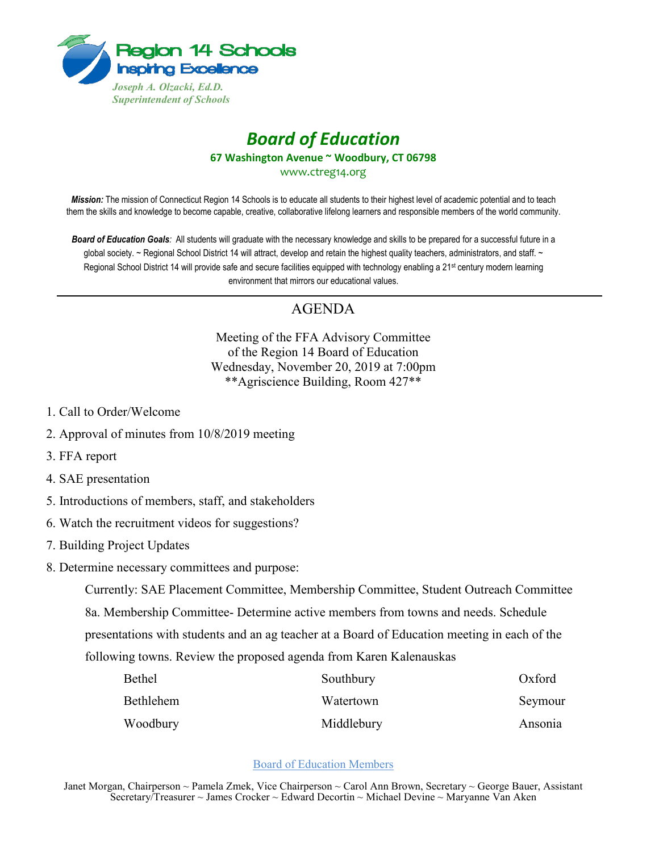

## *Board of Education* **67 Washington Avenue ~ Woodbury, CT 06798** www.ctreg14.org

*Mission:* The mission of Connecticut Region 14 Schools is to educate all students to their highest level of academic potential and to teach them the skills and knowledge to become capable, creative, collaborative lifelong learners and responsible members of the world community.

*Board of Education Goals:* All students will graduate with the necessary knowledge and skills to be prepared for a successful future in a global society. ~ Regional School District 14 will attract, develop and retain the highest quality teachers, administrators, and staff. ~ Regional School District 14 will provide safe and secure facilities equipped with technology enabling a 21<sup>st</sup> century modern learning environment that mirrors our educational values.

## AGENDA

Meeting of the FFA Advisory Committee of the Region 14 Board of Education Wednesday, November 20, 2019 at 7:00pm \*\*Agriscience Building, Room 427\*\*

- 1. Call to Order/Welcome
- 2. Approval of minutes from 10/8/2019 meeting
- 3. FFA report
- 4. SAE presentation
- 5. Introductions of members, staff, and stakeholders
- 6. Watch the recruitment videos for suggestions?
- 7. Building Project Updates
- 8. Determine necessary committees and purpose:

Currently: SAE Placement Committee, Membership Committee, Student Outreach Committee 8a. Membership Committee- Determine active members from towns and needs. Schedule presentations with students and an ag teacher at a Board of Education meeting in each of the following towns. Review the proposed agenda from Karen Kalenauskas

| <b>Bethel</b> | Southbury  | Oxford  |
|---------------|------------|---------|
| Bethlehem     | Watertown  | Seymour |
| Woodbury      | Middlebury | Ansonia |

## Board of Education Members

Janet Morgan, Chairperson ~ Pamela Zmek, Vice Chairperson ~ Carol Ann Brown, Secretary ~ George Bauer, Assistant Secretary/Treasurer ~ James Crocker ~ Edward Decortin ~ Michael Devine ~ Maryanne Van Aken